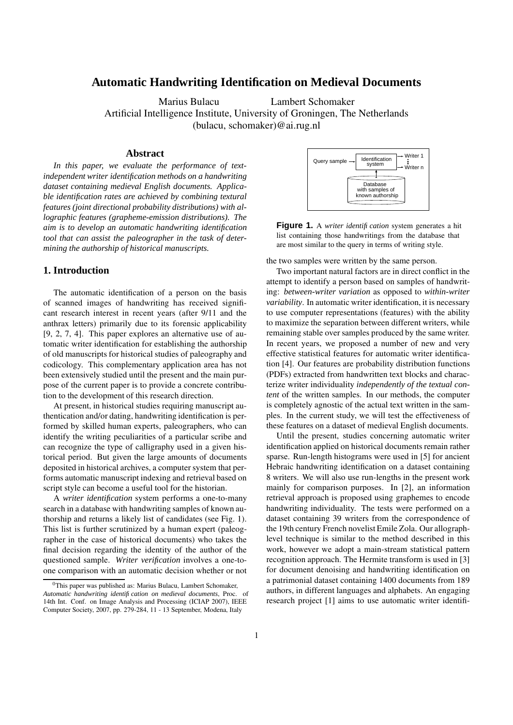# **Automatic Handwriting Identification on Medieval Documents**

Marius Bulacu Lambert Schomaker Artificial Intelligence Institute, University of Groningen, The Netherlands (bulacu, schomaker)@ai.rug.nl

#### **Abstract**

*In this paper, we evaluate the performance of textindependent writer identification methods on a handwriting dataset containing medieval English documents. Applicable identification rates are achieved by combining textural features (joint directional probability distributions) with allographic features (grapheme-emission distributions). The aim is to develop an automatic handwriting identification tool that can assist the paleographer in the task of determining the authorship of historical manuscripts.*

## **1. Introduction**

The automatic identification of a person on the basis of scanned images of handwriting has received significant research interest in recent years (after 9/11 and the anthrax letters) primarily due to its forensic applicability [9, 2, 7, 4]. This paper explores an alternative use of automatic writer identification for establishing the authorship of old manuscripts for historical studies of paleography and codicology. This complementary application area has not been extensively studied until the present and the main purpose of the current paper is to provide a concrete contribution to the development of this research direction.

At present, in historical studies requiring manuscript authentication and/or dating, handwriting identification is performed by skilled human experts, paleographers, who can identify the writing peculiarities of a particular scribe and can recognize the type of calligraphy used in a given historical period. But given the large amounts of documents deposited in historical archives, a computer system that performs automatic manuscript indexing and retrieval based on script style can become a useful tool for the historian.

A *writer identification* system performs a one-to-many search in a database with handwriting samples of known authorship and returns a likely list of candidates (see Fig. 1). This list is further scrutinized by a human expert (paleographer in the case of historical documents) who takes the final decision regarding the identity of the author of the questioned sample. *Writer verification* involves a one-toone comparison with an automatic decision whether or not



**Figure 1.** A *writer identification* system generates a hit list containing those handwritings from the database that are most similar to the query in terms of writing style.

the two samples were written by the same person.

Two important natural factors are in direct conflict in the attempt to identify a person based on samples of handwriting: *between-writer variation* as opposed to *within-writer variability*. In automatic writer identification, it is necessary to use computer representations (features) with the ability to maximize the separation between different writers, while remaining stable over samples produced by the same writer. In recent years, we proposed a number of new and very effective statistical features for automatic writer identification [4]. Our features are probability distribution functions (PDFs) extracted from handwritten text blocks and characterize writer individuality *independently of the textual content* of the written samples. In our methods, the computer is completely agnostic of the actual text written in the samples. In the current study, we will test the effectiveness of these features on a dataset of medieval English documents.

Until the present, studies concerning automatic writer identification applied on historical documents remain rather sparse. Run-length histograms were used in [5] for ancient Hebraic handwriting identification on a dataset containing 8 writers. We will also use run-lengths in the present work mainly for comparison purposes. In [2], an information retrieval approach is proposed using graphemes to encode handwriting individuality. The tests were performed on a dataset containing 39 writers from the correspondence of the 19th century French novelist Emile Zola. Our allographlevel technique is similar to the method described in this work, however we adopt a main-stream statistical pattern recognition approach. The Hermite transform is used in [3] for document denoising and handwriting identification on a patrimonial dataset containing 1400 documents from 189 authors, in different languages and alphabets. An engaging research project [1] aims to use automatic writer identifi-

 $0$ This paper was published as: Marius Bulacu, Lambert Schomaker, *Automatic handwriting identification on medieval documents*, Proc. of 14th Int. Conf. on Image Analysis and Processing (ICIAP 2007), IEEE Computer Society, 2007, pp. 279-284, 11 - 13 September, Modena, Italy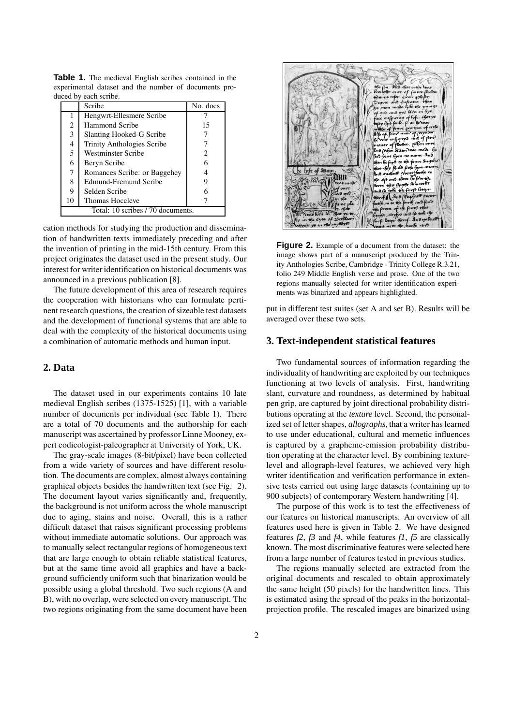|                                   | Scribe                       | No. docs |  |  |
|-----------------------------------|------------------------------|----------|--|--|
|                                   | Hengwrt-Ellesmere Scribe     |          |  |  |
| 2                                 | <b>Hammond Scribe</b>        | 15       |  |  |
| 3                                 | Slanting Hooked-G Scribe     |          |  |  |
| 4                                 | Trinity Anthologies Scribe   |          |  |  |
| 5                                 | Westminster Scribe           | 2        |  |  |
| 6                                 | Beryn Scribe                 |          |  |  |
| 7                                 | Romances Scribe: or Baggehey |          |  |  |
| 8                                 | Edmund-Fremund Scribe        |          |  |  |
| 9                                 | Selden Scribe                |          |  |  |
| 10                                | <b>Thomas Hoccleve</b>       |          |  |  |
| Total: 10 scribes / 70 documents. |                              |          |  |  |

**Table 1.** The medieval English scribes contained in the experimental dataset and the number of documents produced by each scribe

cation methods for studying the production and dissemination of handwritten texts immediately preceding and after the invention of printing in the mid-15th century. From this project originates the dataset used in the present study. Our interest for writer identification on historical documents was announced in a previous publication [8].

The future development of this area of research requires the cooperation with historians who can formulate pertinent research questions, the creation of sizeable test datasets and the development of functional systems that are able to deal with the complexity of the historical documents using a combination of automatic methods and human input.

# **2. Data**

The dataset used in our experiments contains 10 late medieval English scribes (1375-1525) [1], with a variable number of documents per individual (see Table 1). There are a total of 70 documents and the authorship for each manuscript was ascertained by professor Linne Mooney, expert codicologist-paleographer at University of York, UK.

The gray-scale images (8-bit/pixel) have been collected from a wide variety of sources and have different resolution. The documents are complex, almost always containing graphical objects besides the handwritten text (see Fig. 2). The document layout varies significantly and, frequently, the background is not uniform across the whole manuscript due to aging, stains and noise. Overall, this is a rather difficult dataset that raises significant processing problems without immediate automatic solutions. Our approach was to manually select rectangular regions of homogeneous text that are large enough to obtain reliable statistical features, but at the same time avoid all graphics and have a background sufficiently uniform such that binarization would be possible using a global threshold. Two such regions (A and B), with no overlap, were selected on every manuscript. The two regions originating from the same document have been



**Figure 2.** Example of a document from the dataset: the image shows part of a manuscript produced by the Trinity Anthologies Scribe, Cambridge - Trinity College R.3.21, folio 249 Middle English verse and prose. One of the two regions manually selected for writer identification experiments was binarized and appears highlighted.

put in different test suites (set A and set B). Results will be averaged over these two sets.

#### **3. Text-independent statistical features**

Two fundamental sources of information regarding the individuality of handwriting are exploited by our techniques functioning at two levels of analysis. First, handwriting slant, curvature and roundness, as determined by habitual pen grip, are captured by joint directional probability distributions operating at the *texture* level. Second, the personalized set of letter shapes, *allographs*, that a writer has learned to use under educational, cultural and memetic influences is captured by a grapheme-emission probability distribution operating at the character level. By combining texturelevel and allograph-level features, we achieved very high writer identification and verification performance in extensive tests carried out using large datasets (containing up to 900 subjects) of contemporary Western handwriting [4].

The purpose of this work is to test the effectiveness of our features on historical manuscripts. An overview of all features used here is given in Table 2. We have designed features *f2*, *f3* and *f4*, while features *f1*, *f5* are classically known. The most discriminative features were selected here from a large number of features tested in previous studies.

The regions manually selected are extracted from the original documents and rescaled to obtain approximately the same height (50 pixels) for the handwritten lines. This is estimated using the spread of the peaks in the horizontalprojection profile. The rescaled images are binarized using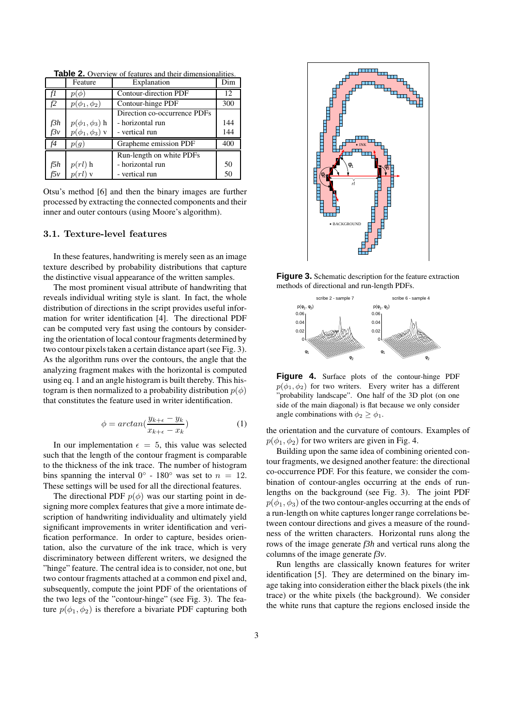**Table 2.** Overview of features and their dimensionalities.

|     | Feature                | Explanation                  | Dim |
|-----|------------------------|------------------------------|-----|
| f1  | $p(\phi)$              | Contour-direction PDF        | 12  |
| f2  | $p(\phi_1, \phi_2)$    | Contour-hinge PDF            | 300 |
|     |                        | Direction co-occurrence PDFs |     |
| f3h | $p(\phi_1, \phi_3)$ h  | - horizontal run             | 144 |
| f3v | $p(\phi_1, \phi_3)$ v  | - vertical run               | 144 |
| f4  | p(g)                   | Grapheme emission PDF        | 400 |
|     |                        | Run-length on white PDFs     |     |
| f5h | $p(rl)$ h<br>$p(rl)$ v | - horizontal run             | 50  |
| f5v |                        | - vertical run               | 50  |

Otsu's method [6] and then the binary images are further processed by extracting the connected components and their inner and outer contours (using Moore's algorithm).

#### 3.1. Texture-level features

In these features, handwriting is merely seen as an image texture described by probability distributions that capture the distinctive visual appearance of the written samples.

The most prominent visual attribute of handwriting that reveals individual writing style is slant. In fact, the whole distribution of directions in the script provides useful information for writer identification [4]. The directional PDF can be computed very fast using the contours by considering the orientation of local contour fragments determined by two contour pixels taken a certain distance apart (see Fig. 3). As the algorithm runs over the contours, the angle that the analyzing fragment makes with the horizontal is computed using eq. 1 and an angle histogram is built thereby. This histogram is then normalized to a probability distribution  $p(\phi)$ that constitutes the feature used in writer identification.

$$
\phi = \arctan(\frac{y_{k+\epsilon} - y_k}{x_{k+\epsilon} - x_k})\tag{1}
$$

In our implementation  $\epsilon = 5$ , this value was selected such that the length of the contour fragment is comparable to the thickness of the ink trace. The number of histogram bins spanning the interval  $0^{\circ}$  - 180 $^{\circ}$  was set to  $n = 12$ . These settings will be used for all the directional features.

The directional PDF  $p(\phi)$  was our starting point in designing more complex features that give a more intimate description of handwriting individuality and ultimately yield significant improvements in writer identification and verification performance. In order to capture, besides orientation, also the curvature of the ink trace, which is very discriminatory between different writers, we designed the "hinge" feature. The central idea is to consider, not one, but two contour fragments attached at a common end pixel and, subsequently, compute the joint PDF of the orientations of the two legs of the "contour-hinge" (see Fig. 3). The feature  $p(\phi_1, \phi_2)$  is therefore a bivariate PDF capturing both



**Figure 3.** Schematic description for the feature extraction methods of directional and run-length PDFs.



**Figure 4.** Surface plots of the contour-hinge PDF  $p(\phi_1, \phi_2)$  for two writers. Every writer has a different "probability landscape". One half of the 3D plot (on one side of the main diagonal) is flat because we only consider angle combinations with  $\phi_2 \geq \phi_1$ .

the orientation and the curvature of contours. Examples of  $p(\phi_1, \phi_2)$  for two writers are given in Fig. 4.

Building upon the same idea of combining oriented contour fragments, we designed another feature: the directional co-occurrence PDF. For this feature, we consider the combination of contour-angles occurring at the ends of runlengths on the background (see Fig. 3). The joint PDF  $p(\phi_1, \phi_3)$  of the two contour-angles occurring at the ends of a run-length on white captures longer range correlations between contour directions and gives a measure of the roundness of the written characters. Horizontal runs along the rows of the image generate *f3h* and vertical runs along the columns of the image generate *f3v*.

Run lengths are classically known features for writer identification [5]. They are determined on the binary image taking into consideration either the black pixels (the ink trace) or the white pixels (the background). We consider the white runs that capture the regions enclosed inside the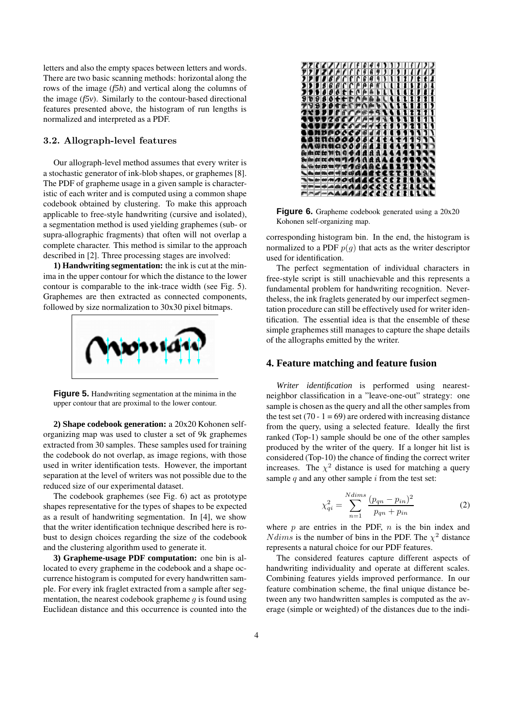letters and also the empty spaces between letters and words. There are two basic scanning methods: horizontal along the rows of the image (*f5h*) and vertical along the columns of the image (*f5v*). Similarly to the contour-based directional features presented above, the histogram of run lengths is normalized and interpreted as a PDF.

## 3.2. Allograph-level features

Our allograph-level method assumes that every writer is a stochastic generator of ink-blob shapes, or graphemes [8]. The PDF of grapheme usage in a given sample is characteristic of each writer and is computed using a common shape codebook obtained by clustering. To make this approach applicable to free-style handwriting (cursive and isolated), a segmentation method is used yielding graphemes (sub- or supra-allographic fragments) that often will not overlap a complete character. This method is similar to the approach described in [2]. Three processing stages are involved:

**1) Handwriting segmentation:** the ink is cut at the minima in the upper contour for which the distance to the lower contour is comparable to the ink-trace width (see Fig. 5). Graphemes are then extracted as connected components, followed by size normalization to 30x30 pixel bitmaps.



**Figure 5.** Handwriting segmentation at the minima in the upper contour that are proximal to the lower contour.

**2) Shape codebook generation:** a 20x20 Kohonen selforganizing map was used to cluster a set of 9k graphemes extracted from 30 samples. These samples used for training the codebook do not overlap, as image regions, with those used in writer identification tests. However, the important separation at the level of writers was not possible due to the reduced size of our experimental dataset.

The codebook graphemes (see Fig. 6) act as prototype shapes representative for the types of shapes to be expected as a result of handwriting segmentation. In [4], we show that the writer identification technique described here is robust to design choices regarding the size of the codebook and the clustering algorithm used to generate it.

**3) Grapheme-usage PDF computation:** one bin is allocated to every grapheme in the codebook and a shape occurrence histogram is computed for every handwritten sample. For every ink fraglet extracted from a sample after segmentation, the nearest codebook grapheme  $q$  is found using Euclidean distance and this occurrence is counted into the



**Figure 6.** Grapheme codebook generated using a 20x20 Kohonen self-organizing map.

corresponding histogram bin. In the end, the histogram is normalized to a PDF  $p(g)$  that acts as the writer descriptor used for identification.

The perfect segmentation of individual characters in free-style script is still unachievable and this represents a fundamental problem for handwriting recognition. Nevertheless, the ink fraglets generated by our imperfect segmentation procedure can still be effectively used for writer identification. The essential idea is that the ensemble of these simple graphemes still manages to capture the shape details of the allographs emitted by the writer.

# **4. Feature matching and feature fusion**

*Writer identification* is performed using nearestneighbor classification in a "leave-one-out" strategy: one sample is chosen as the query and all the other samples from the test set  $(70 - 1 = 69)$  are ordered with increasing distance from the query, using a selected feature. Ideally the first ranked (Top-1) sample should be one of the other samples produced by the writer of the query. If a longer hit list is considered (Top-10) the chance of finding the correct writer increases. The  $\chi^2$  distance is used for matching a query sample  $q$  and any other sample  $i$  from the test set:

$$
\chi_{qi}^{2} = \sum_{n=1}^{N \, \text{dims}} \frac{(p_{qn} - p_{in})^{2}}{p_{qn} + p_{in}} \tag{2}
$$

where  $p$  are entries in the PDF,  $n$  is the bin index and *Ndims* is the number of bins in the PDF. The  $\chi^2$  distance represents a natural choice for our PDF features.

The considered features capture different aspects of handwriting individuality and operate at different scales. Combining features yields improved performance. In our feature combination scheme, the final unique distance between any two handwritten samples is computed as the average (simple or weighted) of the distances due to the indi-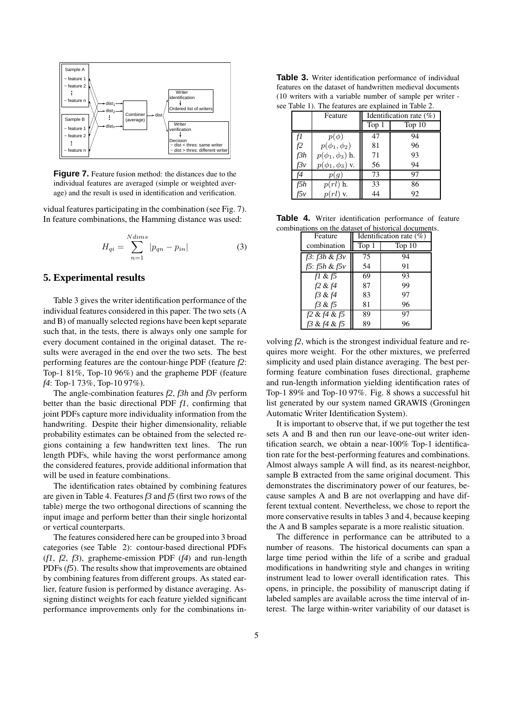

**Figure 7.** Feature fusion method: the distances due to the individual features are averaged (simple or weighted average) and the result is used in identification and verification.

vidual features participating in the combination (see Fig. 7). In feature combinations, the Hamming distance was used:

$$
H_{qi} = \sum_{n=1}^{N \, dims} |p_{qn} - p_{in}| \tag{3}
$$

## **5. Experimental results**

Table 3 gives the writer identification performance of the individual features considered in this paper. The two sets (A and B) of manually selected regions have been kept separate such that, in the tests, there is always only one sample for every document contained in the original dataset. The results were averaged in the end over the two sets. The best performing features are the contour-hinge PDF (feature *f2*: Top-1 81%, Top-10 96%) and the grapheme PDF (feature *f4*: Top-1 73%, Top-10 97%).

The angle-combination features *f2*, *f3h* and *f3v* perform better than the basic directional PDF *f1*, confirming that joint PDFs capture more individuality information from the handwriting. Despite their higher dimensionality, reliable probability estimates can be obtained from the selected regions containing a few handwritten text lines. The run length PDFs, while having the worst performance among the considered features, provide additional information that will be used in feature combinations.

The identification rates obtained by combining features are given in Table 4. Features *f3* and *f5* (first two rows of the table) merge the two orthogonal directions of scanning the input image and perform better than their single horizontal or vertical counterparts.

The features considered here can be grouped into 3 broad categories (see Table 2): contour-based directional PDFs (*f1*, *f2*, *f3*), grapheme-emission PDF (*f4*) and run-length PDFs (*f5*). The results show that improvements are obtained by combining features from different groups. As stated earlier, feature fusion is performed by distance averaging. Assigning distinct weights for each feature yielded significant performance improvements only for the combinations in-

**Table 3.** Writer identification performance of individual features on the dataset of handwritten medieval documents (10 writers with a variable number of sample per writer see Table 1). The features are explained in Table 2.

|  | $\epsilon$ radio 17. The reading are explained in Table $\epsilon$ |                                        |  |  |
|--|--------------------------------------------------------------------|----------------------------------------|--|--|
|  | Eesture                                                            | $\blacksquare$ Identification rate (%) |  |  |

|            | Feature                | Identification rate $(\%)$ |          |
|------------|------------------------|----------------------------|----------|
|            |                        | Top 1                      | Top $10$ |
|            | $p(\phi)$              | 47                         | 94       |
| f2         | $p(\phi_1, \phi_2)$    | 81                         | 96       |
| f3h        | $p(\phi_1, \phi_3)$ h. | 71                         | 93       |
| f3v        | $p(\phi_1, \phi_3)$ v. | 56                         | 94       |
| f4         | p(q)                   | 73                         | 97       |
| f5h<br>f5v | $p(rl)$ h.             | 33                         | 86       |
|            | $p(rl)$ v.             | 44                         | 92       |

**Table 4.** Writer identification performance of feature combinations on the dataset of historical documents.

| Feature              | Identification rate $(\%)$ |          |  |  |
|----------------------|----------------------------|----------|--|--|
| combination          | Top 1                      | Top $10$ |  |  |
| $f3$ : $f3h$ & $f3v$ | 75                         | 94       |  |  |
| $f5: f5h \& f5v$     | 54                         | 91       |  |  |
| fl & $f5$            | 69                         | 93       |  |  |
| f2 & f4              | 87                         | 99       |  |  |
| f3 & f4              | 83                         | 97       |  |  |
| f3 & f5              | 81                         | 96       |  |  |
| $f2 \& f4 \& f5$     | 89                         | 97       |  |  |
| f3 & f4 & f5         | 89                         | 96       |  |  |

volving *f2*, which is the strongest individual feature and requires more weight. For the other mixtures, we preferred simplicity and used plain distance averaging. The best performing feature combination fuses directional, grapheme and run-length information yielding identification rates of Top-1 89% and Top-10 97%. Fig. 8 shows a successful hit list generated by our system named GRAWIS (Groningen Automatic Writer Identification System).

It is important to observe that, if we put together the test sets A and B and then run our leave-one-out writer identification search, we obtain a near-100% Top-1 identification rate for the best-performing features and combinations. Almost always sample A will find, as its nearest-neighbor, sample B extracted from the same original document. This demonstrates the discriminatory power of our features, because samples A and B are not overlapping and have different textual content. Nevertheless, we chose to report the more conservative results in tables 3 and 4, because keeping the A and B samples separate is a more realistic situation.

The difference in performance can be attributed to a number of reasons. The historical documents can span a large time period within the life of a scribe and gradual modifications in handwriting style and changes in writing instrument lead to lower overall identification rates. This opens, in principle, the possibility of manuscript dating if labeled samples are available across the time interval of interest. The large within-writer variability of our dataset is